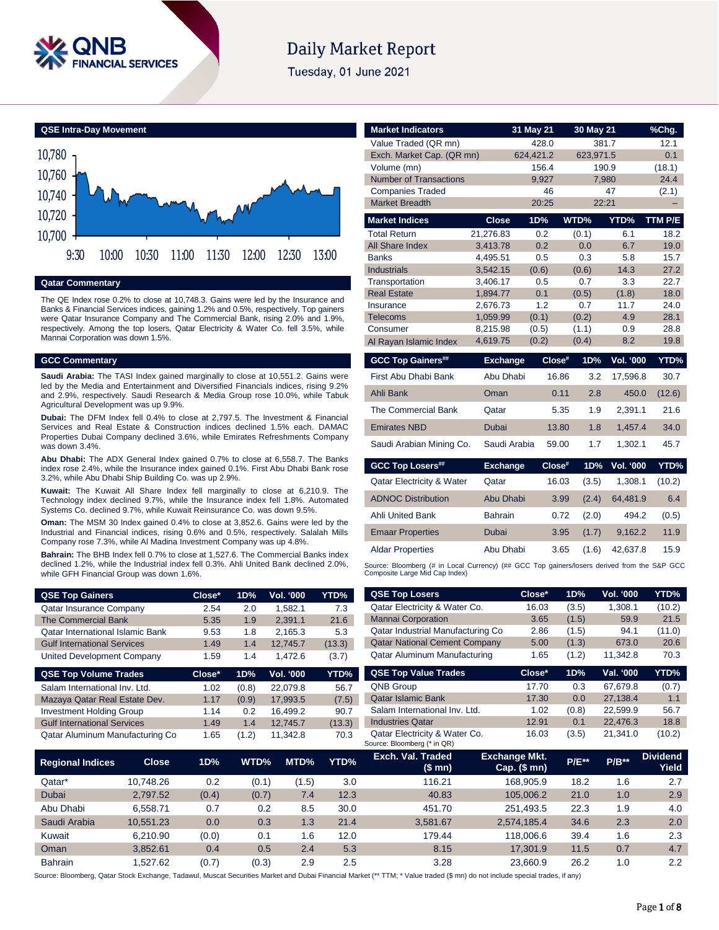

# **Daily Market Report**

Tuesday, 01 June 2021

**QSE Intra-Day Movement**



**Qatar Commentary**

The QE Index rose 0.2% to close at 10,748.3. Gains were led by the Insurance and Banks & Financial Services indices, gaining 1.2% and 0.5%, respectively. Top gainers were Qatar Insurance Company and The Commercial Bank, rising 2.0% and 1.9%, respectively. Among the top losers, Qatar Electricity & Water Co. fell 3.5%, while Mannai Corporation was down 1.5%.

# **GCC Commentary**

**Saudi Arabia:** The TASI Index gained marginally to close at 10,551.2. Gains were led by the Media and Entertainment and Diversified Financials indices, rising 9.2% and 2.9%, respectively. Saudi Research & Media Group rose 10.0%, while Tabuk Agricultural Development was up 9.9%.

**Dubai:** The DFM Index fell 0.4% to close at 2,797.5. The Investment & Financial Services and Real Estate & Construction indices declined 1.5% each. DAMAC Properties Dubai Company declined 3.6%, while Emirates Refreshments Company was down 3.4%.

**Abu Dhabi:** The ADX General Index gained 0.7% to close at 6,558.7. The Banks index rose 2.4%, while the Insurance index gained 0.1%. First Abu Dhabi Bank rose 3.2%, while Abu Dhabi Ship Building Co. was up 2.9%.

**Kuwait:** The Kuwait All Share Index fell marginally to close at 6,210.9. The Technology index declined 9.7%, while the Insurance index fell 1.8%. Automated Systems Co. declined 9.7%, while Kuwait Reinsurance Co. was down 9.5%.

**Oman:** The MSM 30 Index gained 0.4% to close at 3,852.6. Gains were led by the Industrial and Financial indices, rising 0.6% and 0.5%, respectively. Salalah Mills Company rose 7.3%, while Al Madina Investment Company was up 4.8%.

**Bahrain:** The BHB Index fell 0.7% to close at 1,527.6. The Commercial Banks index declined 1.2%, while the Industrial index fell 0.3%. Ahli United Bank declined 2.0%, while GFH Financial Group was down 1.6%.

| <b>QSE Top Gainers</b>                  | Close* | 1D% | <b>Vol. '000</b> | YTD%   |
|-----------------------------------------|--------|-----|------------------|--------|
| <b>Qatar Insurance Company</b>          | 2.54   | 2.0 | 1.582.1          | 7.3    |
| The Commercial Bank                     | 5.35   | 1.9 | 2.391.1          | 21.6   |
| <b>Qatar International Islamic Bank</b> | 9.53   | 1.8 | 2.165.3          | 5.3    |
| <b>Gulf International Services</b>      | 1.49   | 1.4 | 12.745.7         | (13.3) |
| United Development Company              | 1.59   | 1.4 | 1.472.6          | (3.7)  |

| <b>QSE Top Volume Trades</b>       | Close* | 1D%   | Vol. '000 | YTD%   |
|------------------------------------|--------|-------|-----------|--------|
| Salam International Inv. Ltd.      | 1.02   | (0.8) | 22.079.8  | 56.7   |
| Mazaya Qatar Real Estate Dev.      | 1.17   | (0.9) | 17.993.5  | (7.5)  |
| <b>Investment Holding Group</b>    | 1.14   | 0.2   | 16.499.2  | 90.7   |
| <b>Gulf International Services</b> | 1.49   | 1.4   | 12.745.7  | (13.3) |
| Qatar Aluminum Manufacturing Co    | 1.65   | (1.2) | 11.342.8  | 70.3   |

| <b>Market Indicators</b>             |                      | 31 May 21    | 30 May 21    |                  | %Chg.        |
|--------------------------------------|----------------------|--------------|--------------|------------------|--------------|
| Value Traded (QR mn)                 |                      | 428.0        | 381.7        |                  | 12.1         |
| Exch. Market Cap. (QR mn)            |                      | 624.421.2    | 623,971.5    |                  | 0.1          |
| Volume (mn)                          |                      | 156.4        |              | 190.9            | (18.1)       |
| <b>Number of Transactions</b>        |                      | 9,927        |              | 7,980            | 24.4         |
| <b>Companies Traded</b>              |                      | 46           |              | 47               | (2.1)        |
| <b>Market Breadth</b>                |                      | 20:25        | 22:21        |                  |              |
| <b>Market Indices</b>                | <b>Close</b>         | 1D%          | WTD%         | YTD%             | TTM P/E      |
| Total Return                         | 21,276.83            | 0.2          | (0.1)        | 6.1              | 18.2         |
| All Share Index                      | 3,413.78             | 0.2          | 0.0          | 6.7              | 19.0         |
| <b>Banks</b>                         | 4,495.51             | 0.5          | 0.3          | 5.8              | 15.7         |
| <b>Industrials</b>                   | 3,542.15             | (0.6)        | (0.6)        | 14.3             | 27.2         |
| Transportation                       | 3,406.17             | 0.5          | 0.7          | 3.3              | 22.7         |
| <b>Real Estate</b>                   | 1,894.77             | 0.1          | (0.5)        | (1.8)            | 18.0         |
| Insurance<br>Telecoms                | 2.676.73<br>1.059.99 | 1.2<br>(0.1) | 0.7<br>(0.2) | 11.7<br>4.9      | 24.0<br>28.1 |
| Consumer                             | 8,215.98             | (0.5)        | (1.1)        | 0.9              | 28.8         |
| Al Rayan Islamic Index               | 4,619.75             | (0.2)        | (0.4)        | 8.2              | 19.8         |
|                                      |                      |              |              |                  |              |
|                                      |                      |              |              |                  |              |
| <b>GCC Top Gainers##</b>             | <b>Exchange</b>      | Close#       | 1D%          | <b>Vol. '000</b> | YTD%         |
| First Abu Dhabi Bank                 | Abu Dhabi            | 16.86        | 3.2          | 17,596.8         | 30.7         |
| Ahli Bank                            | Oman                 | 0.11         | 2.8          | 450.0            | (12.6)       |
| The Commercial Bank                  | Qatar                | 5.35         | 1.9          | 2.391.1          | 21.6         |
| <b>Emirates NBD</b>                  | <b>Dubai</b>         | 13.80        | 1.8          | 1,457.4          | 34.0         |
| Saudi Arabian Mining Co.             | Saudi Arabia         | 59.00        | 1.7          | 1.302.1          | 45.7         |
| <b>GCC Top Losers##</b>              | <b>Exchange</b>      | $Close^*$    | 1D%          | <b>Vol. '000</b> | YTD%         |
| <b>Qatar Electricity &amp; Water</b> | Qatar                | 16.03        | (3.5)        | 1.308.1          | (10.2)       |
| <b>ADNOC Distribution</b>            | Abu Dhabi            | 3.99         | (2.4)        | 64,481.9         | 6.4          |
| <b>Ahli United Bank</b>              | <b>Bahrain</b>       | 0.72         | (2.0)        | 494.2            | (0.5)        |
| <b>Emaar Properties</b>              | Dubai                | 3.95         | (1.7)        | 9.162.2          | 11.9         |
| <b>Aldar Properties</b>              | Abu Dhabi            | 3.65         | (1.6)        | 42.637.8         | 15.9         |

| <b>QSE Top Losers</b>                                        | Close*                                 | 1D%   | <b>Vol. '000</b> | YTD%                     |
|--------------------------------------------------------------|----------------------------------------|-------|------------------|--------------------------|
| Qatar Electricity & Water Co.                                | 16.03                                  | (3.5) | 1.308.1          | (10.2)                   |
| <b>Mannai Corporation</b>                                    | 3.65                                   | (1.5) | 59.9             | 21.5                     |
| Qatar Industrial Manufacturing Co                            | 2.86                                   | (1.5) | 94.1             | (11.0)                   |
| <b>Qatar National Cement Company</b>                         | 5.00                                   | (1.3) | 673.0            | 20.6                     |
| Qatar Aluminum Manufacturing                                 | 1.65                                   | (1.2) | 11,342.8         | 70.3                     |
| <b>QSE Top Value Trades</b>                                  | Close*                                 | 1D%   | Val. '000        | YTD%                     |
| <b>QNB Group</b>                                             | 17.70                                  | 0.3   | 67.679.8         | (0.7)                    |
| <b>Qatar Islamic Bank</b>                                    | 17.30                                  | 0.0   | 27.138.4         | 1.1                      |
| Salam International Inv. Ltd.                                | 1.02                                   | (0.8) | 22.599.9         | 56.7                     |
| <b>Industries Qatar</b>                                      | 12.91                                  | 0.1   | 22,476.3         | 18.8                     |
| Qatar Electricity & Water Co.<br>Source: Bloomberg (* in QR) | 16.03                                  | (3.5) | 21.341.0         | (10.2)                   |
| Exch. Val. Traded<br>(\$ mn)                                 | <b>Exchange Mkt.</b><br>$Cap.$ (\$ mn) |       | $P/B***$         | <b>Dividend</b><br>Yield |

| <b>Regional Indices</b> | Close     | 1D%   | <b>WTD%</b> | MTD%  | YTD% | Exch. Val. Traded<br>(\$ mn) | <b>Exchange Mkt.</b><br>Cap. $($$ mn $)$ | <b>P/E**</b> | $P/B**$ | <b>Dividend</b><br>Yield |
|-------------------------|-----------|-------|-------------|-------|------|------------------------------|------------------------------------------|--------------|---------|--------------------------|
| Qatar*                  | 10.748.26 | 0.2   | (0.1)       | (1.5) | 3.0  | 116.21                       | 168.905.9                                | 18.2         | 1.6     | 2.7                      |
| Dubai                   | 2.797.52  | (0.4) | (0.7)       | 7.4   | 12.3 | 40.83                        | 105.006.2                                | 21.0         | 1.0     | 2.9                      |
| Abu Dhabi               | 6.558.71  | 0.7   | 0.2         | 8.5   | 30.0 | 451.70                       | 251.493.5                                | 22.3         | 1.9     | 4.0                      |
| Saudi Arabia            | 10.551.23 | 0.0   | 0.3         | 1.3   | 21.4 | 3.581.67                     | 2.574.185.4                              | 34.6         | 2.3     | 2.0                      |
| Kuwait                  | 6.210.90  | (0.0) | 0.1         | 1.6   | 12.0 | 179.44                       | 118,006.6                                | 39.4         | 1.6     | 2.3                      |
| Oman                    | 3.852.61  | 0.4   | 0.5         | 2.4   | 5.3  | 8.15                         | 17.301.9                                 | 11.5         | 0.7     | 4.7                      |
| <b>Bahrain</b>          | .527.62   | (0.7) | (0.3)       | 2.9   | 2.5  | 3.28                         | 23.660.9                                 | 26.2         | 1.0     | 2.2                      |

Source: Bloomberg, Qatar Stock Exchange, Tadawul, Muscat Securities Market and Dubai Financial Market (\*\* TTM; \* Value traded (\$ mn) do not include special trades, if any)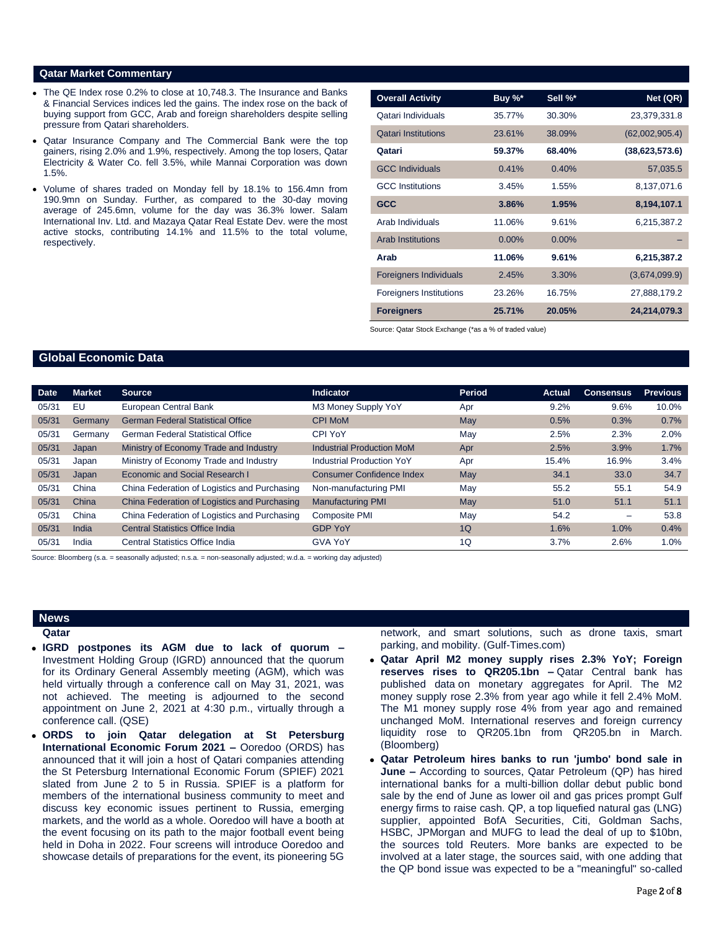### **Qatar Market Commentary**

- The QE Index rose 0.2% to close at 10,748.3. The Insurance and Banks & Financial Services indices led the gains. The index rose on the back of buying support from GCC, Arab and foreign shareholders despite selling pressure from Qatari shareholders.
- Qatar Insurance Company and The Commercial Bank were the top gainers, rising 2.0% and 1.9%, respectively. Among the top losers, Qatar Electricity & Water Co. fell 3.5%, while Mannai Corporation was down 1.5%.
- Volume of shares traded on Monday fell by 18.1% to 156.4mn from 190.9mn on Sunday. Further, as compared to the 30-day moving average of 245.6mn, volume for the day was 36.3% lower. Salam International Inv. Ltd. and Mazaya Qatar Real Estate Dev. were the most active stocks, contributing 14.1% and 11.5% to the total volume, respectively.

| <b>Overall Activity</b>        | Buy %*   | Sell %*  | Net (QR)       |
|--------------------------------|----------|----------|----------------|
| Qatari Individuals             | 35.77%   | 30.30%   | 23,379,331.8   |
| <b>Qatari Institutions</b>     | 23.61%   | 38.09%   | (62,002,905.4) |
| Qatari                         | 59.37%   | 68.40%   | (38,623,573.6) |
| <b>GCC Individuals</b>         | 0.41%    | 0.40%    | 57,035.5       |
| <b>GCC</b> Institutions        | 3.45%    | 1.55%    | 8,137,071.6    |
| <b>GCC</b>                     | 3.86%    | 1.95%    | 8,194,107.1    |
| Arab Individuals               | 11.06%   | 9.61%    | 6,215,387.2    |
| <b>Arab Institutions</b>       | $0.00\%$ | $0.00\%$ |                |
| Arab                           | 11.06%   | 9.61%    | 6,215,387.2    |
| <b>Foreigners Individuals</b>  | 2.45%    | 3.30%    | (3,674,099.9)  |
| <b>Foreigners Institutions</b> | 23.26%   | 16.75%   | 27,888,179.2   |
| <b>Foreigners</b>              | 25.71%   | 20.05%   | 24,214,079.3   |

Source: Qatar Stock Exchange (\*as a % of traded value)

## **Global Economic Data**

| <b>Date</b> | <b>Market</b> | <b>Source</b>                                | <b>Indicator</b>                 | Period | Actual | <b>Consensus</b>         | <b>Previous</b> |
|-------------|---------------|----------------------------------------------|----------------------------------|--------|--------|--------------------------|-----------------|
| 05/31       | EU            | European Central Bank                        | M3 Money Supply YoY              | Apr    | 9.2%   | 9.6%                     | 10.0%           |
| 05/31       | Germany       | <b>German Federal Statistical Office</b>     | <b>CPI MoM</b>                   | May    | 0.5%   | 0.3%                     | 0.7%            |
| 05/31       | Germany       | German Federal Statistical Office            | <b>CPI YoY</b>                   | May    | 2.5%   | 2.3%                     | 2.0%            |
| 05/31       | Japan         | Ministry of Economy Trade and Industry       | <b>Industrial Production MoM</b> | Apr    | 2.5%   | 3.9%                     | 1.7%            |
| 05/31       | Japan         | Ministry of Economy Trade and Industry       | Industrial Production YoY        | Apr    | 15.4%  | 16.9%                    | 3.4%            |
| 05/31       | Japan         | Economic and Social Research I               | Consumer Confidence Index        | May    | 34.1   | 33.0                     | 34.7            |
| 05/31       | China         | China Federation of Logistics and Purchasing | Non-manufacturing PMI            | May    | 55.2   | 55.1                     | 54.9            |
| 05/31       | China         | China Federation of Logistics and Purchasing | <b>Manufacturing PMI</b>         | May    | 51.0   | 51.1                     | 51.1            |
| 05/31       | China         | China Federation of Logistics and Purchasing | <b>Composite PMI</b>             | May    | 54.2   | $\overline{\phantom{m}}$ | 53.8            |
| 05/31       | India         | <b>Central Statistics Office India</b>       | <b>GDP YoY</b>                   | 1Q     | 1.6%   | 1.0%                     | 0.4%            |
| 05/31       | India         | Central Statistics Office India              | <b>GVA YoY</b>                   | 1Q     | 3.7%   | 2.6%                     | 1.0%            |

Source: Bloomberg (s.a. = seasonally adjusted; n.s.a. = non-seasonally adjusted; w.d.a. = working day adjusted)

### **News**

**Qatar** 

- **IGRD postpones its AGM due to lack of quorum –** Investment Holding Group (IGRD) announced that the quorum for its Ordinary General Assembly meeting (AGM), which was held virtually through a conference call on May 31, 2021, was not achieved. The meeting is adjourned to the second appointment on June 2, 2021 at 4:30 p.m., virtually through a conference call. (QSE)
- **ORDS to join Qatar delegation at St Petersburg International Economic Forum 2021 –** Ooredoo (ORDS) has announced that it will join a host of Qatari companies attending the St Petersburg International Economic Forum (SPIEF) 2021 slated from June 2 to 5 in Russia. SPIEF is a platform for members of the international business community to meet and discuss key economic issues pertinent to Russia, emerging markets, and the world as a whole. Ooredoo will have a booth at the event focusing on its path to the major football event being held in Doha in 2022. Four screens will introduce Ooredoo and showcase details of preparations for the event, its pioneering 5G

network, and smart solutions, such as drone taxis, smart parking, and mobility. (Gulf-Times.com)

- **Qatar April M2 money supply rises 2.3% YoY; Foreign reserves rises to QR205.1bn –** Qatar Central bank has published data on monetary aggregates for April. The M2 money supply rose 2.3% from year ago while it fell 2.4% MoM. The M1 money supply rose 4% from year ago and remained unchanged MoM. International reserves and foreign currency liquidity rose to QR205.1bn from QR205.bn in March. (Bloomberg)
- **Qatar Petroleum hires banks to run 'jumbo' bond sale in June –** According to sources, Qatar Petroleum (QP) has hired international banks for a multi-billion dollar debut public bond sale by the end of June as lower oil and gas prices prompt Gulf energy firms to raise cash. QP, a top liquefied natural gas (LNG) supplier, appointed BofA Securities, Citi, Goldman Sachs, HSBC, JPMorgan and MUFG to lead the deal of up to \$10bn, the sources told Reuters. More banks are expected to be involved at a later stage, the sources said, with one adding that the QP bond issue was expected to be a "meaningful" so-called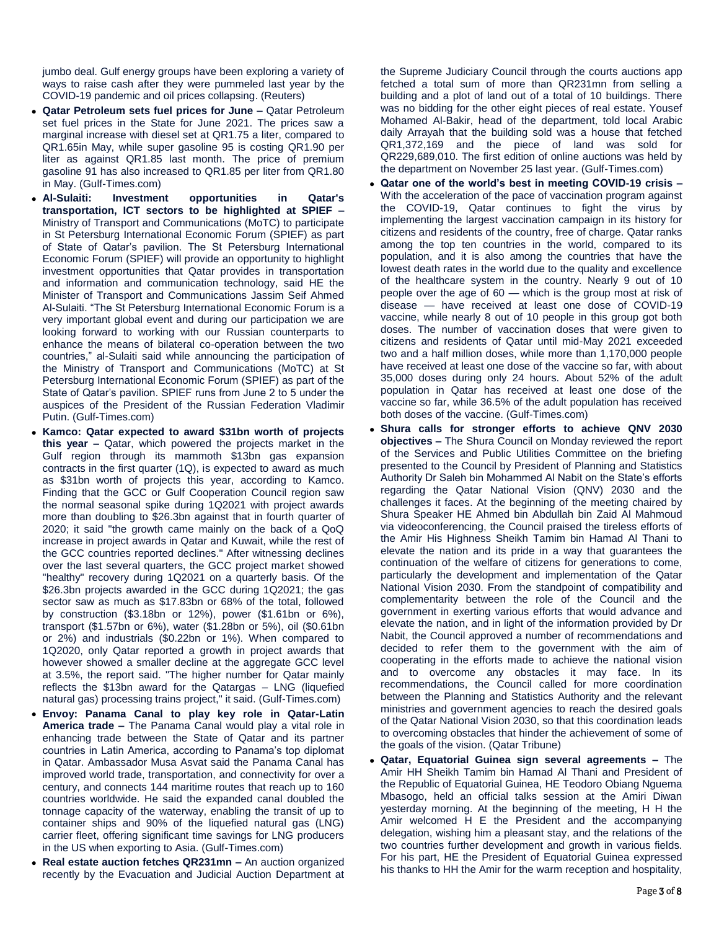jumbo deal. Gulf energy groups have been exploring a variety of ways to raise cash after they were pummeled last year by the COVID-19 pandemic and oil prices collapsing. (Reuters)

- **Qatar Petroleum sets fuel prices for June –** Qatar Petroleum set fuel prices in the State for June 2021. The prices saw a marginal increase with diesel set at QR1.75 a liter, compared to QR1.65in May, while super gasoline 95 is costing QR1.90 per liter as against QR1.85 last month. The price of premium gasoline 91 has also increased to QR1.85 per liter from QR1.80 in May. (Gulf-Times.com)
- **Al-Sulaiti: Investment opportunities in Qatar's transportation, ICT sectors to be highlighted at SPIEF –** Ministry of Transport and Communications (MoTC) to participate in St Petersburg International Economic Forum (SPIEF) as part of State of Qatar's pavilion. The St Petersburg International Economic Forum (SPIEF) will provide an opportunity to highlight investment opportunities that Qatar provides in transportation and information and communication technology, said HE the Minister of Transport and Communications Jassim Seif Ahmed Al-Sulaiti. "The St Petersburg International Economic Forum is a very important global event and during our participation we are looking forward to working with our Russian counterparts to enhance the means of bilateral co-operation between the two countries," al-Sulaiti said while announcing the participation of the Ministry of Transport and Communications (MoTC) at St Petersburg International Economic Forum (SPIEF) as part of the State of Qatar's pavilion. SPIEF runs from June 2 to 5 under the auspices of the President of the Russian Federation Vladimir Putin. (Gulf-Times.com)
- **Kamco: Qatar expected to award \$31bn worth of projects this year –** Qatar, which powered the projects market in the Gulf region through its mammoth \$13bn gas expansion contracts in the first quarter (1Q), is expected to award as much as \$31bn worth of projects this year, according to Kamco. Finding that the GCC or Gulf Cooperation Council region saw the normal seasonal spike during 1Q2021 with project awards more than doubling to \$26.3bn against that in fourth quarter of 2020; it said "the growth came mainly on the back of a QoQ increase in project awards in Qatar and Kuwait, while the rest of the GCC countries reported declines." After witnessing declines over the last several quarters, the GCC project market showed "healthy" recovery during 1Q2021 on a quarterly basis. Of the \$26.3bn projects awarded in the GCC during 1Q2021; the gas sector saw as much as \$17.83bn or 68% of the total, followed by construction (\$3.18bn or 12%), power (\$1.61bn or 6%), transport (\$1.57bn or 6%), water (\$1.28bn or 5%), oil (\$0.61bn or 2%) and industrials (\$0.22bn or 1%). When compared to 1Q2020, only Qatar reported a growth in project awards that however showed a smaller decline at the aggregate GCC level at 3.5%, the report said. "The higher number for Qatar mainly reflects the \$13bn award for the Qatargas – LNG (liquefied natural gas) processing trains project," it said. (Gulf-Times.com)
- **Envoy: Panama Canal to play key role in Qatar-Latin America trade –** The Panama Canal would play a vital role in enhancing trade between the State of Qatar and its partner countries in Latin America, according to Panama's top diplomat in Qatar. Ambassador Musa Asvat said the Panama Canal has improved world trade, transportation, and connectivity for over a century, and connects 144 maritime routes that reach up to 160 countries worldwide. He said the expanded canal doubled the tonnage capacity of the waterway, enabling the transit of up to container ships and 90% of the liquefied natural gas (LNG) carrier fleet, offering significant time savings for LNG producers in the US when exporting to Asia. (Gulf-Times.com)
- **Real estate auction fetches QR231mn –** An auction organized recently by the Evacuation and Judicial Auction Department at

the Supreme Judiciary Council through the courts auctions app fetched a total sum of more than QR231mn from selling a building and a plot of land out of a total of 10 buildings. There was no bidding for the other eight pieces of real estate. Yousef Mohamed Al-Bakir, head of the department, told local Arabic daily Arrayah that the building sold was a house that fetched QR1,372,169 and the piece of land was sold for QR229,689,010. The first edition of online auctions was held by the department on November 25 last year. (Gulf-Times.com)

- **Qatar one of the world's best in meeting COVID-19 crisis –** With the acceleration of the pace of vaccination program against the COVID-19, Qatar continues to fight the virus by implementing the largest vaccination campaign in its history for citizens and residents of the country, free of charge. Qatar ranks among the top ten countries in the world, compared to its population, and it is also among the countries that have the lowest death rates in the world due to the quality and excellence of the healthcare system in the country. Nearly 9 out of 10 people over the age of 60 — which is the group most at risk of disease — have received at least one dose of COVID-19 vaccine, while nearly 8 out of 10 people in this group got both doses. The number of vaccination doses that were given to citizens and residents of Qatar until mid-May 2021 exceeded two and a half million doses, while more than 1,170,000 people have received at least one dose of the vaccine so far, with about 35,000 doses during only 24 hours. About 52% of the adult population in Qatar has received at least one dose of the vaccine so far, while 36.5% of the adult population has received both doses of the vaccine. (Gulf-Times.com)
- **Shura calls for stronger efforts to achieve QNV 2030 objectives –** The Shura Council on Monday reviewed the report of the Services and Public Utilities Committee on the briefing presented to the Council by President of Planning and Statistics Authority Dr Saleh bin Mohammed Al Nabit on the State's efforts regarding the Qatar National Vision (QNV) 2030 and the challenges it faces. At the beginning of the meeting chaired by Shura Speaker HE Ahmed bin Abdullah bin Zaid Al Mahmoud via videoconferencing, the Council praised the tireless efforts of the Amir His Highness Sheikh Tamim bin Hamad Al Thani to elevate the nation and its pride in a way that guarantees the continuation of the welfare of citizens for generations to come, particularly the development and implementation of the Qatar National Vision 2030. From the standpoint of compatibility and complementarity between the role of the Council and the government in exerting various efforts that would advance and elevate the nation, and in light of the information provided by Dr Nabit, the Council approved a number of recommendations and decided to refer them to the government with the aim of cooperating in the efforts made to achieve the national vision and to overcome any obstacles it may face. In its recommendations, the Council called for more coordination between the Planning and Statistics Authority and the relevant ministries and government agencies to reach the desired goals of the Qatar National Vision 2030, so that this coordination leads to overcoming obstacles that hinder the achievement of some of the goals of the vision. (Qatar Tribune)
- **Qatar, Equatorial Guinea sign several agreements –** The Amir HH Sheikh Tamim bin Hamad Al Thani and President of the Republic of Equatorial Guinea, HE Teodoro Obiang Nguema Mbasogo, held an official talks session at the Amiri Diwan yesterday morning. At the beginning of the meeting, H H the Amir welcomed H E the President and the accompanying delegation, wishing him a pleasant stay, and the relations of the two countries further development and growth in various fields. For his part, HE the President of Equatorial Guinea expressed his thanks to HH the Amir for the warm reception and hospitality,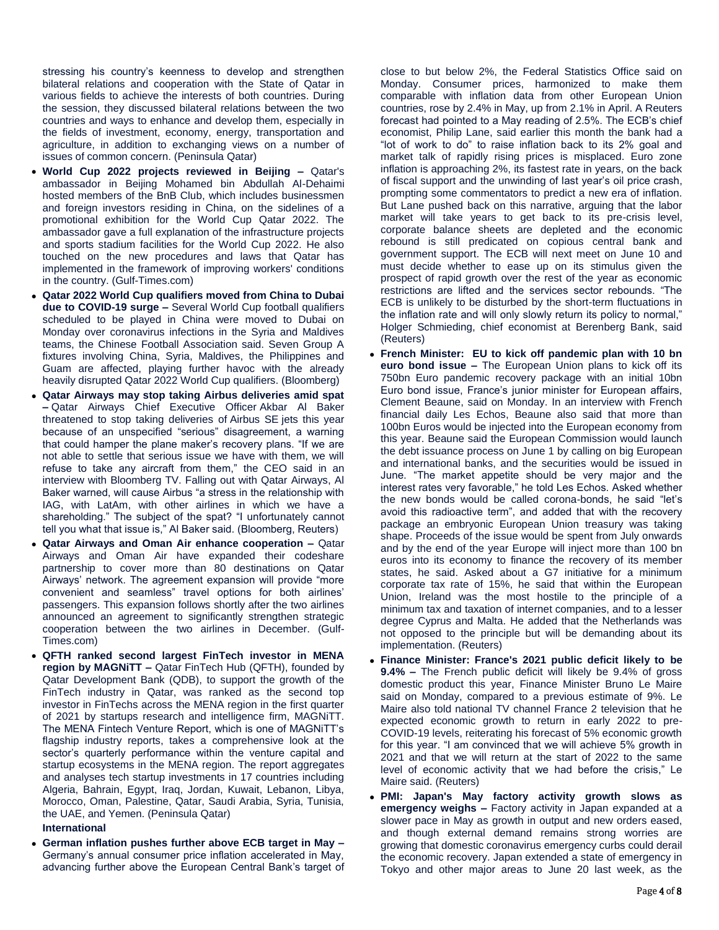stressing his country's keenness to develop and strengthen bilateral relations and cooperation with the State of Qatar in various fields to achieve the interests of both countries. During the session, they discussed bilateral relations between the two countries and ways to enhance and develop them, especially in the fields of investment, economy, energy, transportation and agriculture, in addition to exchanging views on a number of issues of common concern. (Peninsula Qatar)

- **World Cup 2022 projects reviewed in Beijing –** Qatar's ambassador in Beijing Mohamed bin Abdullah Al-Dehaimi hosted members of the BnB Club, which includes businessmen and foreign investors residing in China, on the sidelines of a promotional exhibition for the World Cup Qatar 2022. The ambassador gave a full explanation of the infrastructure projects and sports stadium facilities for the World Cup 2022. He also touched on the new procedures and laws that Qatar has implemented in the framework of improving workers' conditions in the country. (Gulf-Times.com)
- **Qatar 2022 World Cup qualifiers moved from China to Dubai due to COVID-19 surge –** Several World Cup football qualifiers scheduled to be played in China were moved to Dubai on Monday over coronavirus infections in the Syria and Maldives teams, the Chinese Football Association said. Seven Group A fixtures involving China, Syria, Maldives, the Philippines and Guam are affected, playing further havoc with the already heavily disrupted Qatar 2022 World Cup qualifiers. (Bloomberg)
- **Qatar Airways may stop taking Airbus deliveries amid spat –** Qatar Airways Chief Executive Officer Akbar Al Baker threatened to stop taking deliveries of Airbus SE jets this year because of an unspecified "serious" disagreement, a warning that could hamper the plane maker's recovery plans. "If we are not able to settle that serious issue we have with them, we will refuse to take any aircraft from them," the CEO said in an interview with Bloomberg TV. Falling out with Qatar Airways, Al Baker warned, will cause Airbus "a stress in the relationship with IAG, with LatAm, with other airlines in which we have a shareholding." The subject of the spat? "I unfortunately cannot tell you what that issue is," Al Baker said. (Bloomberg, Reuters)
- **Qatar Airways and Oman Air enhance cooperation –** Qatar Airways and Oman Air have expanded their codeshare partnership to cover more than 80 destinations on Qatar Airways' network. The agreement expansion will provide "more convenient and seamless" travel options for both airlines' passengers. This expansion follows shortly after the two airlines announced an agreement to significantly strengthen strategic cooperation between the two airlines in December. (Gulf-Times.com)
- **QFTH ranked second largest FinTech investor in MENA region by MAGNiTT –** Qatar FinTech Hub (QFTH), founded by Qatar Development Bank (QDB), to support the growth of the FinTech industry in Qatar, was ranked as the second top investor in FinTechs across the MENA region in the first quarter of 2021 by startups research and intelligence firm, MAGNiTT. The MENA Fintech Venture Report, which is one of MAGNiTT's flagship industry reports, takes a comprehensive look at the sector's quarterly performance within the venture capital and startup ecosystems in the MENA region. The report aggregates and analyses tech startup investments in 17 countries including Algeria, Bahrain, Egypt, Iraq, Jordan, Kuwait, Lebanon, Libya, Morocco, Oman, Palestine, Qatar, Saudi Arabia, Syria, Tunisia, the UAE, and Yemen. (Peninsula Qatar)

## **International**

 **German inflation pushes further above ECB target in May –** Germany's annual consumer price inflation accelerated in May, advancing further above the European Central Bank's target of close to but below 2%, the Federal Statistics Office said on Monday. Consumer prices, harmonized to make them comparable with inflation data from other European Union countries, rose by 2.4% in May, up from 2.1% in April. A Reuters forecast had pointed to a May reading of 2.5%. The ECB's chief economist, Philip Lane, said earlier this month the bank had a "lot of work to do" to raise inflation back to its 2% goal and market talk of rapidly rising prices is misplaced. Euro zone inflation is approaching 2%, its fastest rate in years, on the back of fiscal support and the unwinding of last year's oil price crash, prompting some commentators to predict a new era of inflation. But Lane pushed back on this narrative, arguing that the labor market will take years to get back to its pre-crisis level, corporate balance sheets are depleted and the economic rebound is still predicated on copious central bank and government support. The ECB will next meet on June 10 and must decide whether to ease up on its stimulus given the prospect of rapid growth over the rest of the year as economic restrictions are lifted and the services sector rebounds. "The ECB is unlikely to be disturbed by the short-term fluctuations in the inflation rate and will only slowly return its policy to normal," Holger Schmieding, chief economist at Berenberg Bank, said (Reuters)

- **French Minister: EU to kick off pandemic plan with 10 bn euro bond issue –** The European Union plans to kick off its 750bn Euro pandemic recovery package with an initial 10bn Euro bond issue, France's junior minister for European affairs, Clement Beaune, said on Monday. In an interview with French financial daily Les Echos, Beaune also said that more than 100bn Euros would be injected into the European economy from this year. Beaune said the European Commission would launch the debt issuance process on June 1 by calling on big European and international banks, and the securities would be issued in June. "The market appetite should be very major and the interest rates very favorable," he told Les Echos. Asked whether the new bonds would be called corona-bonds, he said "let's avoid this radioactive term", and added that with the recovery package an embryonic European Union treasury was taking shape. Proceeds of the issue would be spent from July onwards and by the end of the year Europe will inject more than 100 bn euros into its economy to finance the recovery of its member states, he said. Asked about a G7 initiative for a minimum corporate tax rate of 15%, he said that within the European Union, Ireland was the most hostile to the principle of a minimum tax and taxation of internet companies, and to a lesser degree Cyprus and Malta. He added that the Netherlands was not opposed to the principle but will be demanding about its implementation. (Reuters)
- **Finance Minister: France's 2021 public deficit likely to be 9.4% –** The French public deficit will likely be 9.4% of gross domestic product this year, Finance Minister Bruno Le Maire said on Monday, compared to a previous estimate of 9%. Le Maire also told national TV channel France 2 television that he expected economic growth to return in early 2022 to pre-COVID-19 levels, reiterating his forecast of 5% economic growth for this year. "I am convinced that we will achieve 5% growth in 2021 and that we will return at the start of 2022 to the same level of economic activity that we had before the crisis," Le Maire said. (Reuters)
- **PMI: Japan's May factory activity growth slows as emergency weighs –** Factory activity in Japan expanded at a slower pace in May as growth in output and new orders eased, and though external demand remains strong worries are growing that domestic coronavirus emergency curbs could derail the economic recovery. Japan extended a state of emergency in Tokyo and other major areas to June 20 last week, as the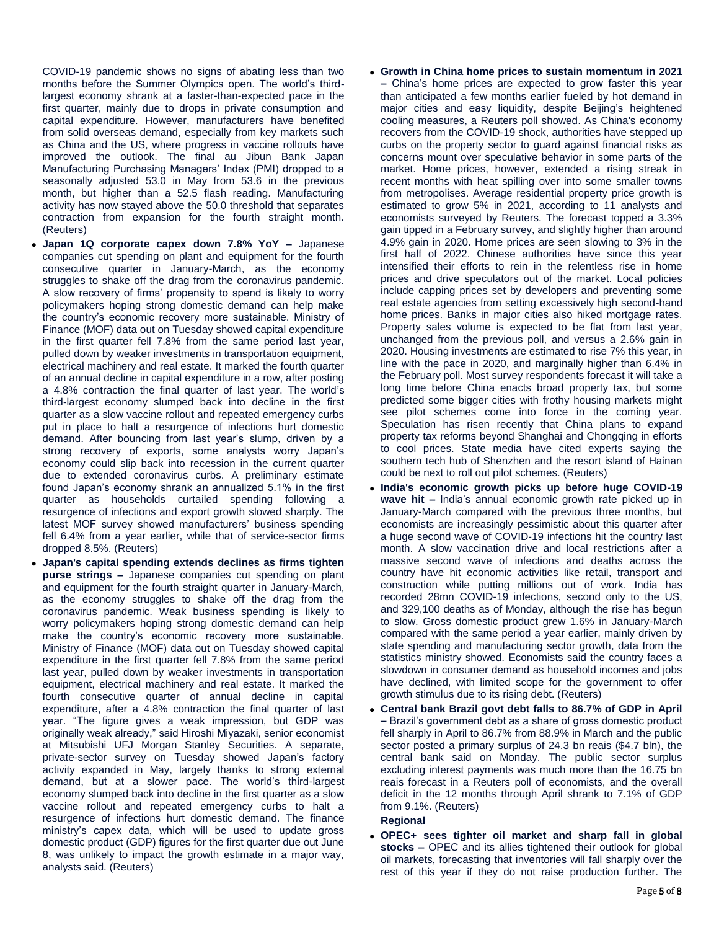COVID-19 pandemic shows no signs of abating less than two months before the Summer Olympics open. The world's thirdlargest economy shrank at a faster-than-expected pace in the first quarter, mainly due to drops in private consumption and capital expenditure. However, manufacturers have benefited from solid overseas demand, especially from key markets such as China and the US, where progress in vaccine rollouts have improved the outlook. The final au Jibun Bank Japan Manufacturing Purchasing Managers' Index (PMI) dropped to a seasonally adjusted 53.0 in May from 53.6 in the previous month, but higher than a 52.5 flash reading. Manufacturing activity has now stayed above the 50.0 threshold that separates contraction from expansion for the fourth straight month. (Reuters)

- **Japan 1Q corporate capex down 7.8% YoY –** Japanese companies cut spending on plant and equipment for the fourth consecutive quarter in January-March, as the economy struggles to shake off the drag from the coronavirus pandemic. A slow recovery of firms' propensity to spend is likely to worry policymakers hoping strong domestic demand can help make the country's economic recovery more sustainable. Ministry of Finance (MOF) data out on Tuesday showed capital expenditure in the first quarter fell 7.8% from the same period last year, pulled down by weaker investments in transportation equipment, electrical machinery and real estate. It marked the fourth quarter of an annual decline in capital expenditure in a row, after posting a 4.8% contraction the final quarter of last year. The world's third-largest economy slumped back into decline in the first quarter as a slow vaccine rollout and repeated emergency curbs put in place to halt a resurgence of infections hurt domestic demand. After bouncing from last year's slump, driven by a strong recovery of exports, some analysts worry Japan's economy could slip back into recession in the current quarter due to extended coronavirus curbs. A preliminary estimate found Japan's economy shrank an annualized 5.1% in the first quarter as households curtailed spending following a resurgence of infections and export growth slowed sharply. The latest MOF survey showed manufacturers' business spending fell 6.4% from a year earlier, while that of service-sector firms dropped 8.5%. (Reuters)
- **Japan's capital spending extends declines as firms tighten purse strings –** Japanese companies cut spending on plant and equipment for the fourth straight quarter in January-March, as the economy struggles to shake off the drag from the coronavirus pandemic. Weak business spending is likely to worry policymakers hoping strong domestic demand can help make the country's economic recovery more sustainable. Ministry of Finance (MOF) data out on Tuesday showed capital expenditure in the first quarter fell 7.8% from the same period last year, pulled down by weaker investments in transportation equipment, electrical machinery and real estate. It marked the fourth consecutive quarter of annual decline in capital expenditure, after a 4.8% contraction the final quarter of last year. "The figure gives a weak impression, but GDP was originally weak already," said Hiroshi Miyazaki, senior economist at Mitsubishi UFJ Morgan Stanley Securities. A separate, private-sector survey on Tuesday showed Japan's factory activity expanded in May, largely thanks to strong external demand, but at a slower pace. The world's third-largest economy slumped back into decline in the first quarter as a slow vaccine rollout and repeated emergency curbs to halt a resurgence of infections hurt domestic demand. The finance ministry's capex data, which will be used to update gross domestic product (GDP) figures for the first quarter due out June 8, was unlikely to impact the growth estimate in a major way, analysts said. (Reuters)
- **Growth in China home prices to sustain momentum in 2021 –** China's home prices are expected to grow faster this year than anticipated a few months earlier fueled by hot demand in major cities and easy liquidity, despite Beijing's heightened cooling measures, a Reuters poll showed. As China's economy recovers from the COVID-19 shock, authorities have stepped up curbs on the property sector to guard against financial risks as concerns mount over speculative behavior in some parts of the market. Home prices, however, extended a rising streak in recent months with heat spilling over into some smaller towns from metropolises. Average residential property price growth is estimated to grow 5% in 2021, according to 11 analysts and economists surveyed by Reuters. The forecast topped a 3.3% gain tipped in a February survey, and slightly higher than around 4.9% gain in 2020. Home prices are seen slowing to 3% in the first half of 2022. Chinese authorities have since this year intensified their efforts to rein in the relentless rise in home prices and drive speculators out of the market. Local policies include capping prices set by developers and preventing some real estate agencies from setting excessively high second-hand home prices. Banks in major cities also hiked mortgage rates. Property sales volume is expected to be flat from last year, unchanged from the previous poll, and versus a 2.6% gain in 2020. Housing investments are estimated to rise 7% this year, in line with the pace in 2020, and marginally higher than 6.4% in the February poll. Most survey respondents forecast it will take a long time before China enacts broad property tax, but some predicted some bigger cities with frothy housing markets might see pilot schemes come into force in the coming year. Speculation has risen recently that China plans to expand property tax reforms beyond Shanghai and Chongqing in efforts to cool prices. State media have cited experts saying the southern tech hub of Shenzhen and the resort island of Hainan could be next to roll out pilot schemes. (Reuters)
- **India's economic growth picks up before huge COVID-19 wave hit –** India's annual economic growth rate picked up in January-March compared with the previous three months, but economists are increasingly pessimistic about this quarter after a huge second wave of COVID-19 infections hit the country last month. A slow vaccination drive and local restrictions after a massive second wave of infections and deaths across the country have hit economic activities like retail, transport and construction while putting millions out of work. India has recorded 28mn COVID-19 infections, second only to the US, and 329,100 deaths as of Monday, although the rise has begun to slow. Gross domestic product grew 1.6% in January-March compared with the same period a year earlier, mainly driven by state spending and manufacturing sector growth, data from the statistics ministry showed. Economists said the country faces a slowdown in consumer demand as household incomes and jobs have declined, with limited scope for the government to offer growth stimulus due to its rising debt. (Reuters)
- **Central bank Brazil govt debt falls to 86.7% of GDP in April –** Brazil's government debt as a share of gross domestic product fell sharply in April to 86.7% from 88.9% in March and the public sector posted a primary surplus of 24.3 bn reais (\$4.7 bln), the central bank said on Monday. The public sector surplus excluding interest payments was much more than the 16.75 bn reais forecast in a Reuters poll of economists, and the overall deficit in the 12 months through April shrank to 7.1% of GDP from 9.1%. (Reuters)

# **Regional**

 **OPEC+ sees tighter oil market and sharp fall in global stocks –** OPEC and its allies tightened their outlook for global oil markets, forecasting that inventories will fall sharply over the rest of this year if they do not raise production further. The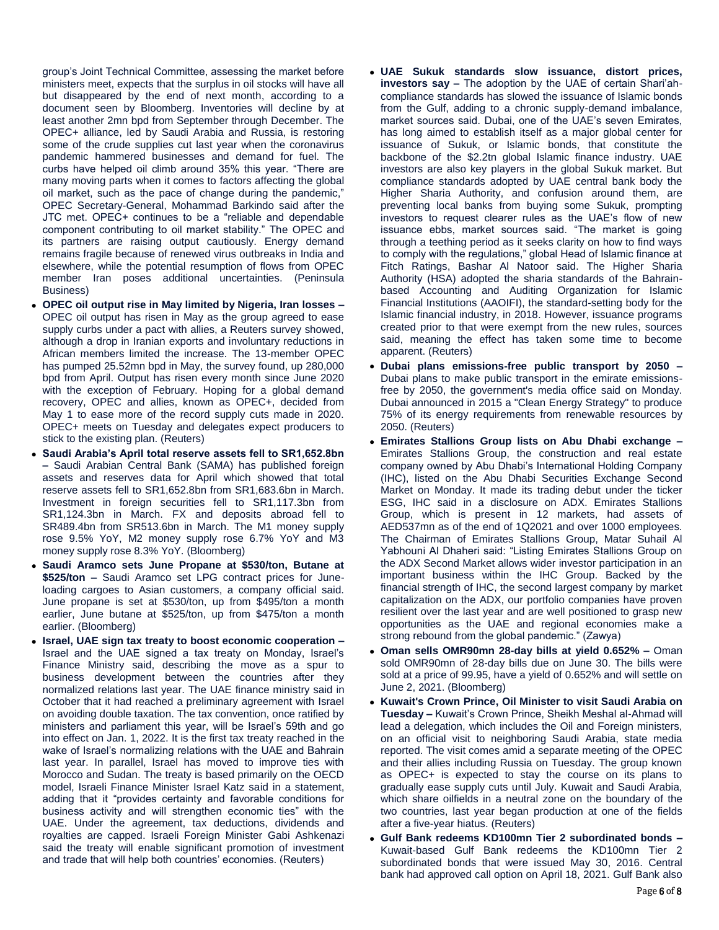group's Joint Technical Committee, assessing the market before ministers meet, expects that the surplus in oil stocks will have all but disappeared by the end of next month, according to a document seen by Bloomberg. Inventories will decline by at least another 2mn bpd from September through December. The OPEC+ alliance, led by Saudi Arabia and Russia, is restoring some of the crude supplies cut last year when the coronavirus pandemic hammered businesses and demand for fuel. The curbs have helped oil climb around 35% this year. "There are many moving parts when it comes to factors affecting the global oil market, such as the pace of change during the pandemic," OPEC Secretary-General, Mohammad Barkindo said after the JTC met. OPEC+ continues to be a "reliable and dependable component contributing to oil market stability." The OPEC and its partners are raising output cautiously. Energy demand remains fragile because of renewed virus outbreaks in India and elsewhere, while the potential resumption of flows from OPEC member Iran poses additional uncertainties. (Peninsula Business)

- **OPEC oil output rise in May limited by Nigeria, Iran losses –** OPEC oil output has risen in May as the group agreed to ease supply curbs under a pact with allies, a Reuters survey showed, although a drop in Iranian exports and involuntary reductions in African members limited the increase. The 13-member OPEC has pumped 25.52mn bpd in May, the survey found, up 280,000 bpd from April. Output has risen every month since June 2020 with the exception of February. Hoping for a global demand recovery, OPEC and allies, known as OPEC+, decided from May 1 to ease more of the record supply cuts made in 2020. OPEC+ meets on Tuesday and delegates expect producers to stick to the existing plan. (Reuters)
- **Saudi Arabia's April total reserve assets fell to SR1,652.8bn –** Saudi Arabian Central Bank (SAMA) has published foreign assets and reserves data for April which showed that total reserve assets fell to SR1,652.8bn from SR1,683.6bn in March. Investment in foreign securities fell to SR1,117.3bn from SR1,124.3bn in March. FX and deposits abroad fell to SR489.4bn from SR513.6bn in March. The M1 money supply rose 9.5% YoY, M2 money supply rose 6.7% YoY and M3 money supply rose 8.3% YoY. (Bloomberg)
- **Saudi Aramco sets June Propane at \$530/ton, Butane at \$525/ton –** Saudi Aramco set LPG contract prices for Juneloading cargoes to Asian customers, a company official said. June propane is set at \$530/ton, up from \$495/ton a month earlier, June butane at \$525/ton, up from \$475/ton a month earlier. (Bloomberg)
- **Israel, UAE sign tax treaty to boost economic cooperation –** Israel and the UAE signed a tax treaty on Monday, Israel's Finance Ministry said, describing the move as a spur to business development between the countries after they normalized relations last year. The UAE finance ministry said in October that it had reached a preliminary agreement with Israel on avoiding double taxation. The tax convention, once ratified by ministers and parliament this year, will be Israel's 59th and go into effect on Jan. 1, 2022. It is the first tax treaty reached in the wake of Israel's normalizing relations with the UAE and Bahrain last year. In parallel, Israel has moved to improve ties with Morocco and Sudan. The treaty is based primarily on the OECD model, Israeli Finance Minister Israel Katz said in a statement, adding that it "provides certainty and favorable conditions for business activity and will strengthen economic ties" with the UAE. Under the agreement, tax deductions, dividends and royalties are capped. Israeli Foreign Minister Gabi Ashkenazi said the treaty will enable significant promotion of investment and trade that will help both countries' economies. (Reuters)
- **UAE Sukuk standards slow issuance, distort prices, investors say –** The adoption by the UAE of certain Shari'ahcompliance standards has slowed the issuance of Islamic bonds from the Gulf, adding to a chronic supply-demand imbalance, market sources said. Dubai, one of the UAE's seven Emirates, has long aimed to establish itself as a major global center for issuance of Sukuk, or Islamic bonds, that constitute the backbone of the \$2.2tn global Islamic finance industry. UAE investors are also key players in the global Sukuk market. But compliance standards adopted by UAE central bank body the Higher Sharia Authority, and confusion around them, are preventing local banks from buying some Sukuk, prompting investors to request clearer rules as the UAE's flow of new issuance ebbs, market sources said. "The market is going through a teething period as it seeks clarity on how to find ways to comply with the regulations," global Head of Islamic finance at Fitch Ratings, Bashar Al Natoor said. The Higher Sharia Authority (HSA) adopted the sharia standards of the Bahrainbased Accounting and Auditing Organization for Islamic Financial Institutions (AAOIFI), the standard-setting body for the Islamic financial industry, in 2018. However, issuance programs created prior to that were exempt from the new rules, sources said, meaning the effect has taken some time to become apparent. (Reuters)
- **Dubai plans emissions-free public transport by 2050 –** Dubai plans to make public transport in the emirate emissionsfree by 2050, the government's media office said on Monday. Dubai announced in 2015 a "Clean Energy Strategy" to produce 75% of its energy requirements from renewable resources by 2050. (Reuters)
- **Emirates Stallions Group lists on Abu Dhabi exchange –** Emirates Stallions Group, the construction and real estate company owned by Abu Dhabi's International Holding Company (IHC), listed on the Abu Dhabi Securities Exchange Second Market on Monday. It made its trading debut under the ticker ESG, IHC said in a disclosure on ADX. Emirates Stallions Group, which is present in 12 markets, had assets of AED537mn as of the end of 1Q2021 and over 1000 employees. The Chairman of Emirates Stallions Group, Matar Suhail Al Yabhouni Al Dhaheri said: "Listing Emirates Stallions Group on the ADX Second Market allows wider investor participation in an important business within the IHC Group. Backed by the financial strength of IHC, the second largest company by market capitalization on the ADX, our portfolio companies have proven resilient over the last year and are well positioned to grasp new opportunities as the UAE and regional economies make a strong rebound from the global pandemic." (Zawya)
- **Oman sells OMR90mn 28-day bills at yield 0.652% –** Oman sold OMR90mn of 28-day bills due on June 30. The bills were sold at a price of 99.95, have a yield of 0.652% and will settle on June 2, 2021. (Bloomberg)
- **Kuwait's Crown Prince, Oil Minister to visit Saudi Arabia on Tuesday –** Kuwait's Crown Prince, Sheikh Meshal al-Ahmad will lead a delegation, which includes the Oil and Foreign ministers, on an official visit to neighboring Saudi Arabia, state media reported. The visit comes amid a separate meeting of the OPEC and their allies including Russia on Tuesday. The group known as OPEC+ is expected to stay the course on its plans to gradually ease supply cuts until July. Kuwait and Saudi Arabia, which share oilfields in a neutral zone on the boundary of the two countries, last year began production at one of the fields after a five-year hiatus. (Reuters)
- **Gulf Bank redeems KD100mn Tier 2 subordinated bonds –** Kuwait-based Gulf Bank redeems the KD100mn Tier 2 subordinated bonds that were issued May 30, 2016. Central bank had approved call option on April 18, 2021. Gulf Bank also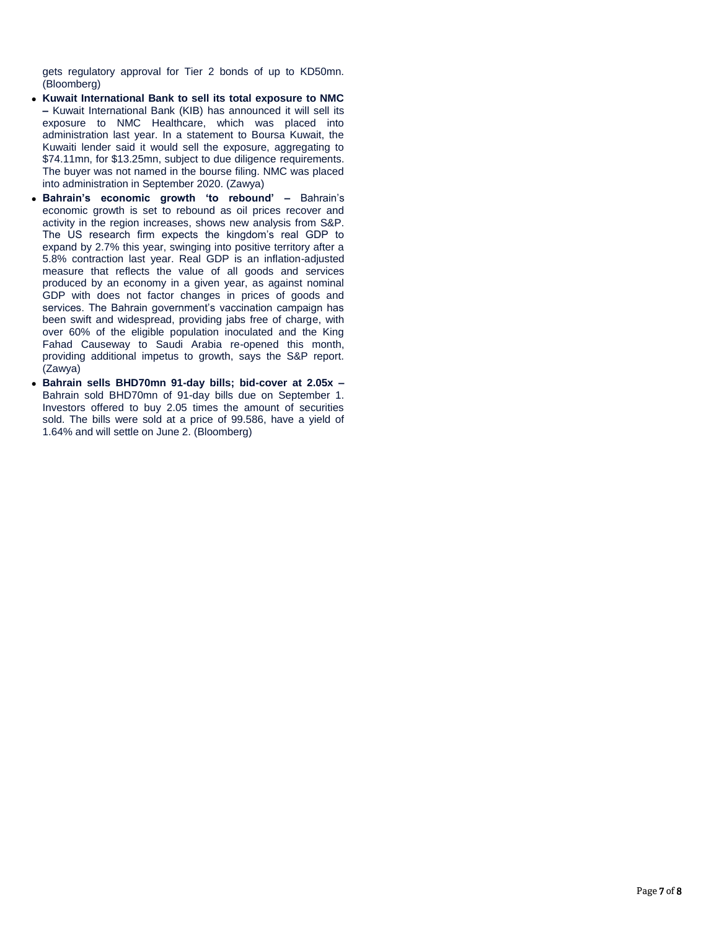gets regulatory approval for Tier 2 bonds of up to KD50mn. (Bloomberg)

- **Kuwait International Bank to sell its total exposure to NMC –** Kuwait International Bank (KIB) has announced it will sell its exposure to NMC Healthcare, which was placed into administration last year. In a statement to Boursa Kuwait, the Kuwaiti lender said it would sell the exposure, aggregating to \$74.11mn, for \$13.25mn, subject to due diligence requirements. The buyer was not named in the bourse filing. NMC was placed into administration in September 2020. (Zawya)
- **Bahrain's economic growth 'to rebound' –** Bahrain's economic growth is set to rebound as oil prices recover and activity in the region increases, shows new analysis from S&P. The US research firm expects the kingdom's real GDP to expand by 2.7% this year, swinging into positive territory after a 5.8% contraction last year. Real GDP is an inflation-adjusted measure that reflects the value of all goods and services produced by an economy in a given year, as against nominal GDP with does not factor changes in prices of goods and services. The Bahrain government's vaccination campaign has been swift and widespread, providing jabs free of charge, with over 60% of the eligible population inoculated and the King Fahad Causeway to Saudi Arabia re-opened this month, providing additional impetus to growth, says the S&P report. (Zawya)
- **Bahrain sells BHD70mn 91-day bills; bid-cover at 2.05x –** Bahrain sold BHD70mn of 91-day bills due on September 1. Investors offered to buy 2.05 times the amount of securities sold. The bills were sold at a price of 99.586, have a yield of 1.64% and will settle on June 2. (Bloomberg)